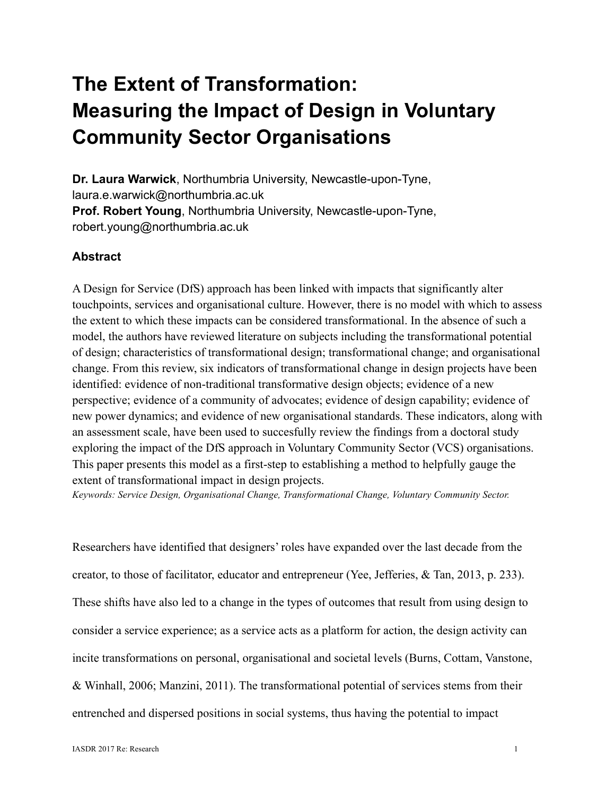# **The Extent of Transformation: Measuring the Impact of Design in Voluntary Community Sector Organisations**

**Dr. Laura Warwick**, Northumbria University, Newcastle-upon-Tyne, laura.e.warwick@northumbria.ac.uk **Prof. Robert Young**, Northumbria University, Newcastle-upon-Tyne, robert.young@northumbria.ac.uk

# **Abstract**

A Design for Service (DfS) approach has been linked with impacts that significantly alter touchpoints, services and organisational culture. However, there is no model with which to assess the extent to which these impacts can be considered transformational. In the absence of such a model, the authors have reviewed literature on subjects including the transformational potential of design; characteristics of transformational design; transformational change; and organisational change. From this review, six indicators of transformational change in design projects have been identified: evidence of non-traditional transformative design objects; evidence of a new perspective; evidence of a community of advocates; evidence of design capability; evidence of new power dynamics; and evidence of new organisational standards. These indicators, along with an assessment scale, have been used to succesfully review the findings from a doctoral study exploring the impact of the DfS approach in Voluntary Community Sector (VCS) organisations. This paper presents this model as a first-step to establishing a method to helpfully gauge the extent of transformational impact in design projects.

*Keywords: Service Design, Organisational Change, Transformational Change, Voluntary Community Sector.*

Researchers have identified that designers' roles have expanded over the last decade from the creator, to those of facilitator, educator and entrepreneur (Yee, Jefferies, & Tan, 2013, p. 233). These shifts have also led to a change in the types of outcomes that result from using design to consider a service experience; as a service acts as a platform for action, the design activity can incite transformations on personal, organisational and societal levels (Burns, Cottam, Vanstone, & Winhall, 2006; Manzini, 2011). The transformational potential of services stems from their entrenched and dispersed positions in social systems, thus having the potential to impact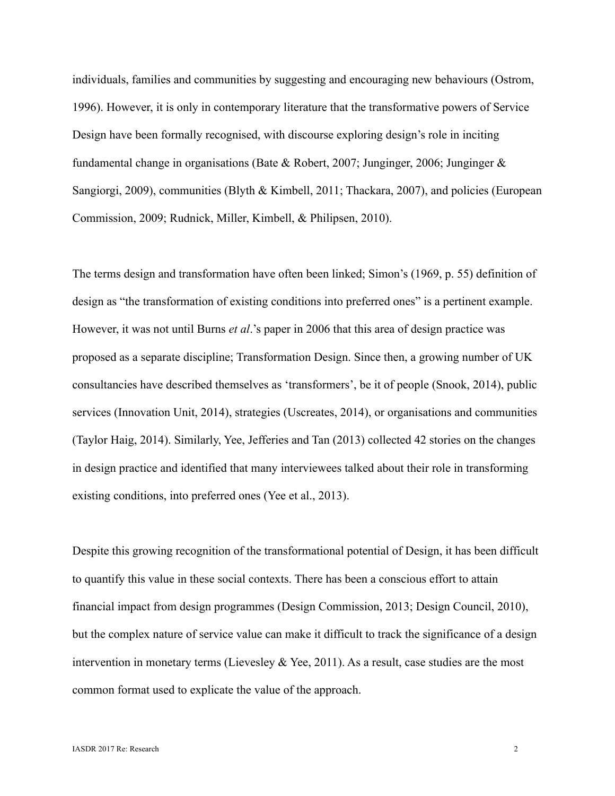individuals, families and communities by suggesting and encouraging new behaviours (Ostrom, 1996). However, it is only in contemporary literature that the transformative powers of Service Design have been formally recognised, with discourse exploring design's role in inciting fundamental change in organisations (Bate & Robert, 2007; Junginger, 2006; Junginger & Sangiorgi, 2009), communities (Blyth & Kimbell, 2011; Thackara, 2007), and policies (European Commission, 2009; Rudnick, Miller, Kimbell, & Philipsen, 2010).

The terms design and transformation have often been linked; Simon's (1969, p. 55) definition of design as "the transformation of existing conditions into preferred ones" is a pertinent example. However, it was not until Burns *et al*.'s paper in 2006 that this area of design practice was proposed as a separate discipline; Transformation Design. Since then, a growing number of UK consultancies have described themselves as 'transformers', be it of people (Snook, 2014), public services (Innovation Unit, 2014), strategies (Uscreates, 2014), or organisations and communities (Taylor Haig, 2014). Similarly, Yee, Jefferies and Tan (2013) collected 42 stories on the changes in design practice and identified that many interviewees talked about their role in transforming existing conditions, into preferred ones (Yee et al., 2013).

Despite this growing recognition of the transformational potential of Design, it has been difficult to quantify this value in these social contexts. There has been a conscious effort to attain financial impact from design programmes (Design Commission, 2013; Design Council, 2010), but the complex nature of service value can make it difficult to track the significance of a design intervention in monetary terms (Lievesley & Yee, 2011). As a result, case studies are the most common format used to explicate the value of the approach.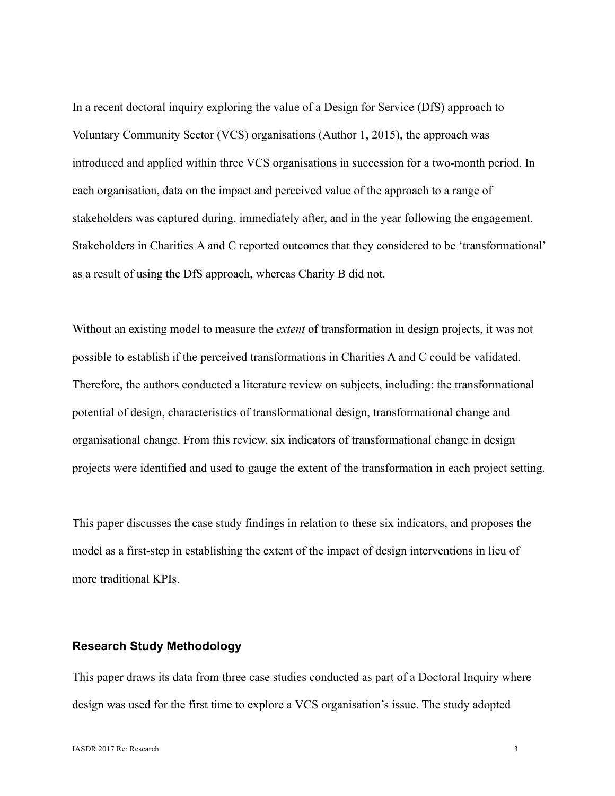In a recent doctoral inquiry exploring the value of a Design for Service (DfS) approach to Voluntary Community Sector (VCS) organisations (Author 1, 2015), the approach was introduced and applied within three VCS organisations in succession for a two-month period. In each organisation, data on the impact and perceived value of the approach to a range of stakeholders was captured during, immediately after, and in the year following the engagement. Stakeholders in Charities A and C reported outcomes that they considered to be 'transformational' as a result of using the DfS approach, whereas Charity B did not.

Without an existing model to measure the *extent* of transformation in design projects, it was not possible to establish if the perceived transformations in Charities A and C could be validated. Therefore, the authors conducted a literature review on subjects, including: the transformational potential of design, characteristics of transformational design, transformational change and organisational change. From this review, six indicators of transformational change in design projects were identified and used to gauge the extent of the transformation in each project setting.

This paper discusses the case study findings in relation to these six indicators, and proposes the model as a first-step in establishing the extent of the impact of design interventions in lieu of more traditional KPIs.

# **Research Study Methodology**

This paper draws its data from three case studies conducted as part of a Doctoral Inquiry where design was used for the first time to explore a VCS organisation's issue. The study adopted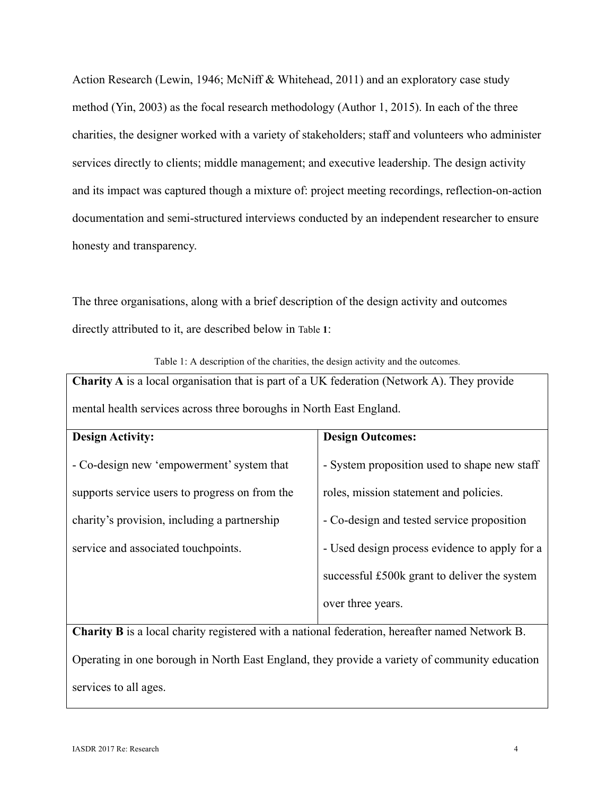Action Research (Lewin, 1946; McNiff & Whitehead, 2011) and an exploratory case study method (Yin, 2003) as the focal research methodology (Author 1, 2015). In each of the three charities, the designer worked with a variety of stakeholders; staff and volunteers who administer services directly to clients; middle management; and executive leadership. The design activity and its impact was captured though a mixture of: project meeting recordings, reflection-on-action documentation and semi-structured interviews conducted by an independent researcher to ensure honesty and transparency.

The three organisations, along with a brief description of the design activity and outcomes directly attributed to it, are described below in Table **1**:

|  |  | Table 1: A description of the charities, the design activity and the outcomes. |
|--|--|--------------------------------------------------------------------------------|
|  |  |                                                                                |

**Charity A** is a local organisation that is part of a UK federation (Network A). They provide mental health services across three boroughs in North East England.

| <b>Design Activity:</b>                        | <b>Design Outcomes:</b>                       |
|------------------------------------------------|-----------------------------------------------|
|                                                |                                               |
| - Co-design new 'empowerment' system that      | - System proposition used to shape new staff  |
|                                                |                                               |
|                                                |                                               |
| supports service users to progress on from the | roles, mission statement and policies.        |
|                                                |                                               |
| charity's provision, including a partnership   | - Co-design and tested service proposition    |
|                                                |                                               |
| service and associated touchpoints.            | - Used design process evidence to apply for a |
|                                                |                                               |
|                                                |                                               |
|                                                | successful £500k grant to deliver the system  |
|                                                |                                               |
|                                                | over three years.                             |
|                                                |                                               |
|                                                |                                               |

**Charity B** is a local charity registered with a national federation, hereafter named Network B. Operating in one borough in North East England, they provide a variety of community education services to all ages.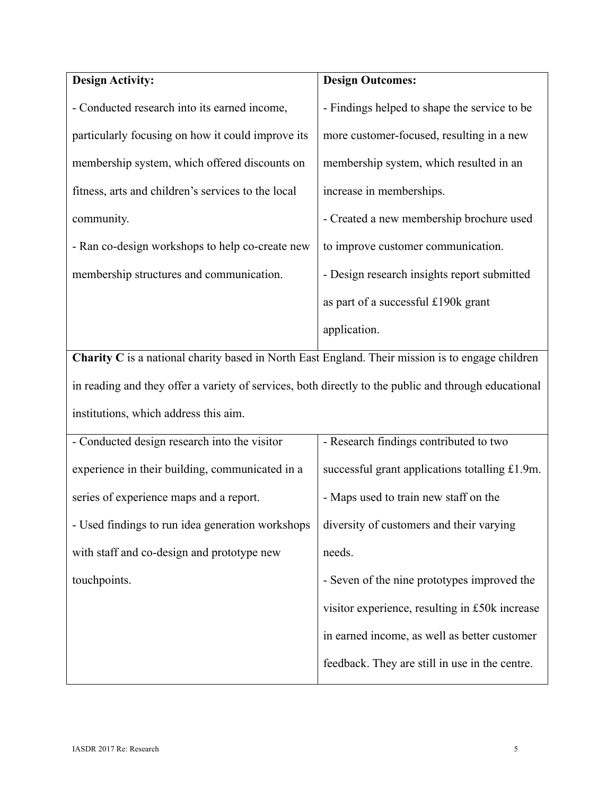| <b>Design Activity:</b>                            | <b>Design Outcomes:</b>                      |
|----------------------------------------------------|----------------------------------------------|
| - Conducted research into its earned income,       | - Findings helped to shape the service to be |
| particularly focusing on how it could improve its  | more customer-focused, resulting in a new    |
| membership system, which offered discounts on      | membership system, which resulted in an      |
| fitness, arts and children's services to the local | increase in memberships.                     |
| community.                                         | - Created a new membership brochure used     |
| - Ran co-design workshops to help co-create new    | to improve customer communication.           |
| membership structures and communication.           | - Design research insights report submitted  |
|                                                    | as part of a successful £190k grant          |
|                                                    | application.                                 |

**Charity C** is a national charity based in North East England. Their mission is to engage children in reading and they offer a variety of services, both directly to the public and through educational institutions, which address this aim.

| - Conducted design research into the visitor     | - Research findings contributed to two         |
|--------------------------------------------------|------------------------------------------------|
| experience in their building, communicated in a  | successful grant applications totalling £1.9m. |
| series of experience maps and a report.          | - Maps used to train new staff on the          |
| - Used findings to run idea generation workshops | diversity of customers and their varying       |
| with staff and co-design and prototype new       | needs.                                         |
| touchpoints.                                     | - Seven of the nine prototypes improved the    |
|                                                  | visitor experience, resulting in £50k increase |
|                                                  | in earned income, as well as better customer   |
|                                                  | feedback. They are still in use in the centre. |
|                                                  |                                                |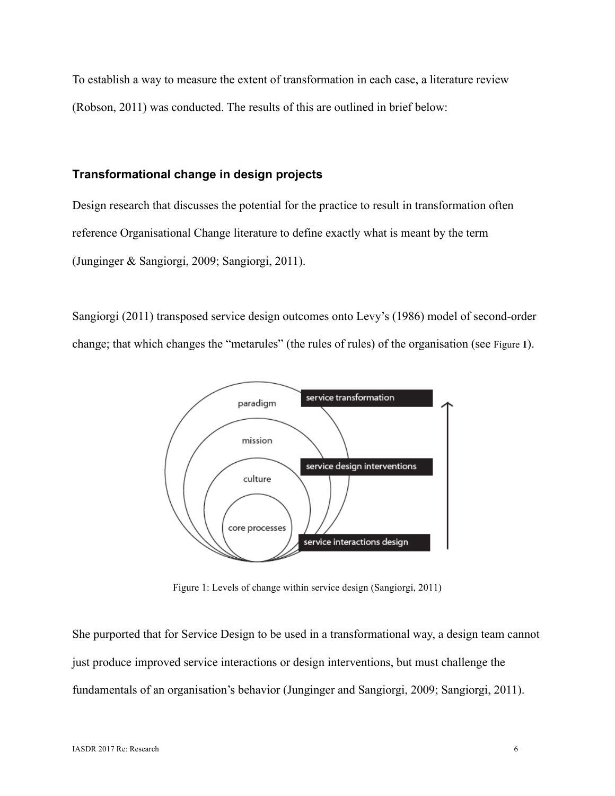To establish a way to measure the extent of transformation in each case, a literature review (Robson, 2011) was conducted. The results of this are outlined in brief below:

# **Transformational change in design projects**

Design research that discusses the potential for the practice to result in transformation often reference Organisational Change literature to define exactly what is meant by the term (Junginger & Sangiorgi, 2009; Sangiorgi, 2011).

Sangiorgi (2011) transposed service design outcomes onto Levy's (1986) model of second-order change; that which changes the "metarules" (the rules of rules) of the organisation (see Figure **1**).



Figure 1: Levels of change within service design (Sangiorgi, 2011)

She purported that for Service Design to be used in a transformational way, a design team cannot just produce improved service interactions or design interventions, but must challenge the fundamentals of an organisation's behavior (Junginger and Sangiorgi, 2009; Sangiorgi, 2011).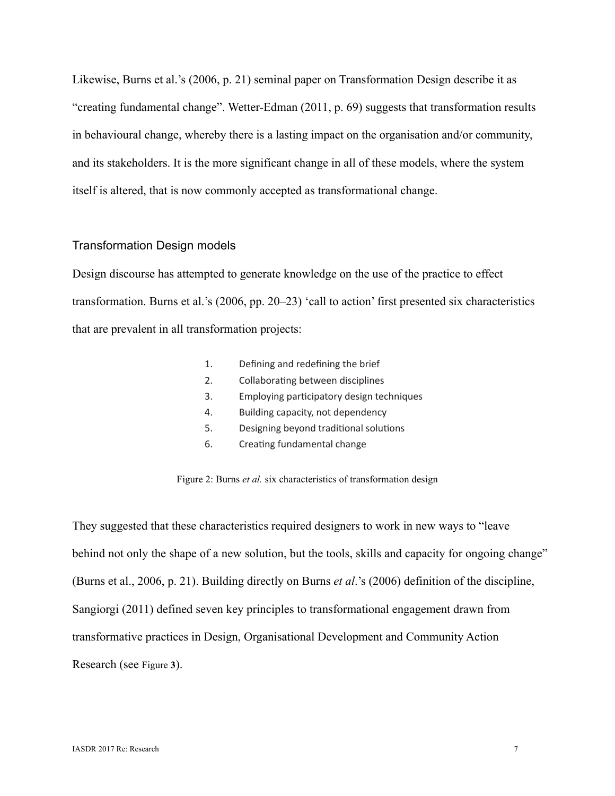Likewise, Burns et al.'s (2006, p. 21) seminal paper on Transformation Design describe it as "creating fundamental change". Wetter-Edman (2011, p. 69) suggests that transformation results in behavioural change, whereby there is a lasting impact on the organisation and/or community, and its stakeholders. It is the more significant change in all of these models, where the system itself is altered, that is now commonly accepted as transformational change.

# Transformation Design models

Design discourse has attempted to generate knowledge on the use of the practice to effect transformation. Burns et al.'s (2006, pp. 20–23) 'call to action' first presented six characteristics that are prevalent in all transformation projects:

| 1. | Defining and redefining the brief         |
|----|-------------------------------------------|
| 2. | Collaborating between disciplines         |
| 3. | Employing participatory design techniques |
| 4. | Building capacity, not dependency         |
| 5. | Designing beyond traditional solutions    |
| 6. | Creating fundamental change               |

Figure 2: Burns *et al.* six characteristics of transformation design

They suggested that these characteristics required designers to work in new ways to "leave behind not only the shape of a new solution, but the tools, skills and capacity for ongoing change" (Burns et al., 2006, p. 21). Building directly on Burns *et al*.'s (2006) definition of the discipline, Sangiorgi (2011) defined seven key principles to transformational engagement drawn from transformative practices in Design, Organisational Development and Community Action Research (see Figure **3**).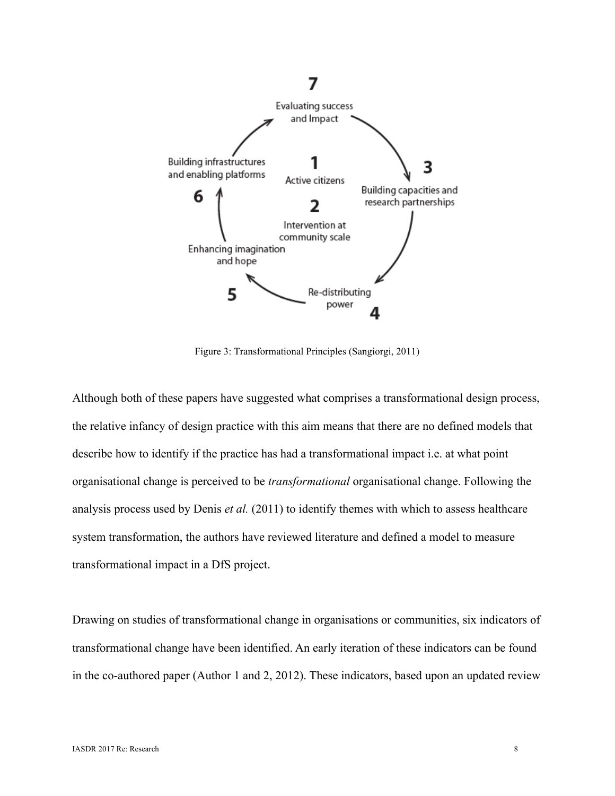

Figure 3: Transformational Principles (Sangiorgi, 2011)

Although both of these papers have suggested what comprises a transformational design process, the relative infancy of design practice with this aim means that there are no defined models that describe how to identify if the practice has had a transformational impact i.e. at what point organisational change is perceived to be *transformational* organisational change. Following the analysis process used by Denis *et al.* (2011) to identify themes with which to assess healthcare system transformation, the authors have reviewed literature and defined a model to measure transformational impact in a DfS project.

Drawing on studies of transformational change in organisations or communities, six indicators of transformational change have been identified. An early iteration of these indicators can be found in the co-authored paper (Author 1 and 2, 2012). These indicators, based upon an updated review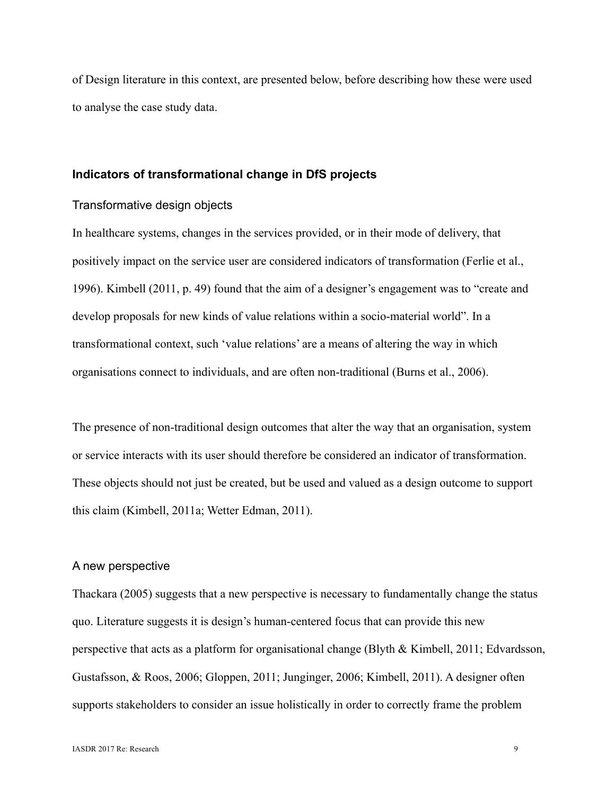of Design literature in this context, are presented below, before describing how these were used to analyse the case study data.

#### **Indicators of transformational change in DfS projects**

# Transformative design objects

In healthcare systems, changes in the services provided, or in their mode of delivery, that positively impact on the service user are considered indicators of transformation (Ferlie et al., 1996). Kimbell (2011, p. 49) found that the aim of a designer's engagement was to "create and develop proposals for new kinds of value relations within a socio-material world". In a transformational context, such 'value relations' are a means of altering the way in which organisations connect to individuals, and are often non-traditional (Burns et al., 2006).

The presence of non-traditional design outcomes that alter the way that an organisation, system or service interacts with its user should therefore be considered an indicator of transformation. These objects should not just be created, but be used and valued as a design outcome to support this claim (Kimbell, 2011a; Wetter Edman, 2011).

## A new perspective

Thackara (2005) suggests that a new perspective is necessary to fundamentally change the status quo. Literature suggests it is design's human-centered focus that can provide this new perspective that acts as a platform for organisational change (Blyth & Kimbell, 2011; Edvardsson, Gustafsson, & Roos, 2006; Gloppen, 2011; Junginger, 2006; Kimbell, 2011). A designer often supports stakeholders to consider an issue holistically in order to correctly frame the problem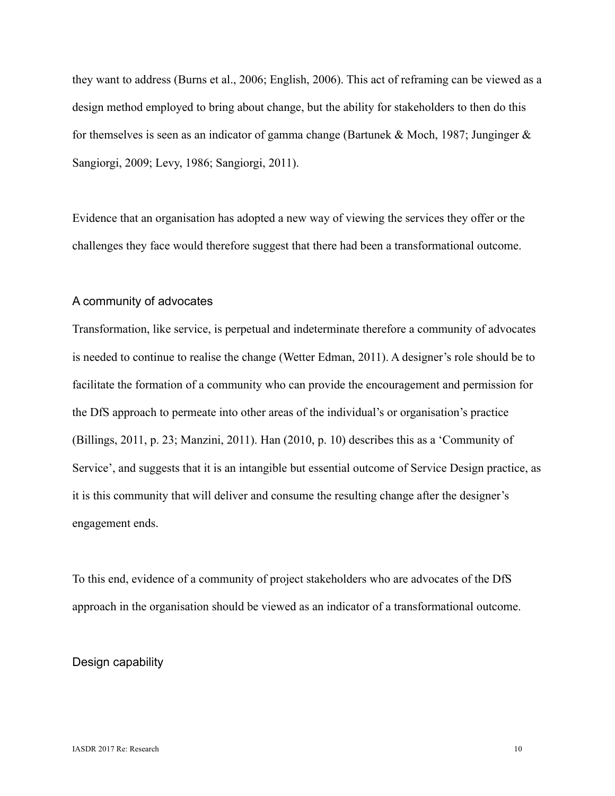they want to address (Burns et al., 2006; English, 2006). This act of reframing can be viewed as a design method employed to bring about change, but the ability for stakeholders to then do this for themselves is seen as an indicator of gamma change (Bartunek & Moch, 1987; Junginger & Sangiorgi, 2009; Levy, 1986; Sangiorgi, 2011).

Evidence that an organisation has adopted a new way of viewing the services they offer or the challenges they face would therefore suggest that there had been a transformational outcome.

## A community of advocates

Transformation, like service, is perpetual and indeterminate therefore a community of advocates is needed to continue to realise the change (Wetter Edman, 2011). A designer's role should be to facilitate the formation of a community who can provide the encouragement and permission for the DfS approach to permeate into other areas of the individual's or organisation's practice (Billings, 2011, p. 23; Manzini, 2011). Han (2010, p. 10) describes this as a 'Community of Service', and suggests that it is an intangible but essential outcome of Service Design practice, as it is this community that will deliver and consume the resulting change after the designer's engagement ends.

To this end, evidence of a community of project stakeholders who are advocates of the DfS approach in the organisation should be viewed as an indicator of a transformational outcome.

# Design capability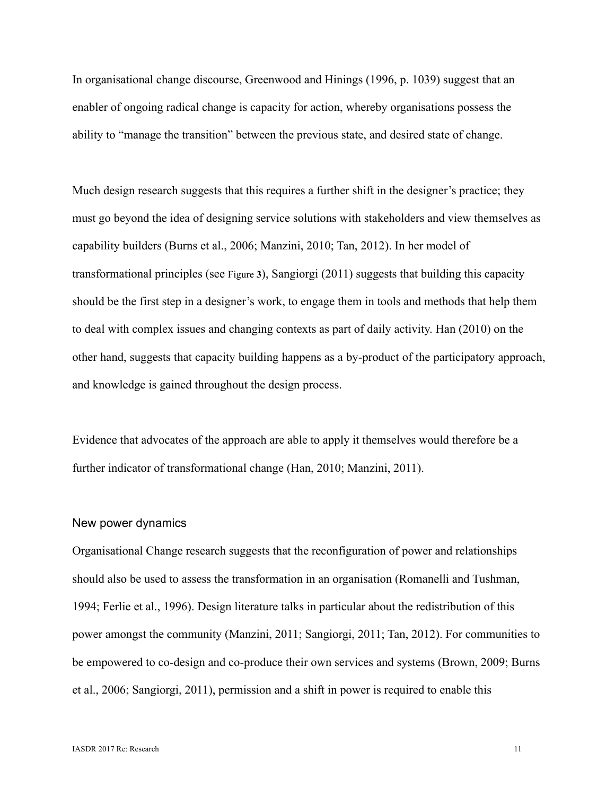In organisational change discourse, Greenwood and Hinings (1996, p. 1039) suggest that an enabler of ongoing radical change is capacity for action, whereby organisations possess the ability to "manage the transition" between the previous state, and desired state of change.

Much design research suggests that this requires a further shift in the designer's practice; they must go beyond the idea of designing service solutions with stakeholders and view themselves as capability builders (Burns et al., 2006; Manzini, 2010; Tan, 2012). In her model of transformational principles (see Figure **3**), Sangiorgi (2011) suggests that building this capacity should be the first step in a designer's work, to engage them in tools and methods that help them to deal with complex issues and changing contexts as part of daily activity. Han (2010) on the other hand, suggests that capacity building happens as a by-product of the participatory approach, and knowledge is gained throughout the design process.

Evidence that advocates of the approach are able to apply it themselves would therefore be a further indicator of transformational change (Han, 2010; Manzini, 2011).

#### New power dynamics

Organisational Change research suggests that the reconfiguration of power and relationships should also be used to assess the transformation in an organisation (Romanelli and Tushman, 1994; Ferlie et al., 1996). Design literature talks in particular about the redistribution of this power amongst the community (Manzini, 2011; Sangiorgi, 2011; Tan, 2012). For communities to be empowered to co-design and co-produce their own services and systems (Brown, 2009; Burns et al., 2006; Sangiorgi, 2011), permission and a shift in power is required to enable this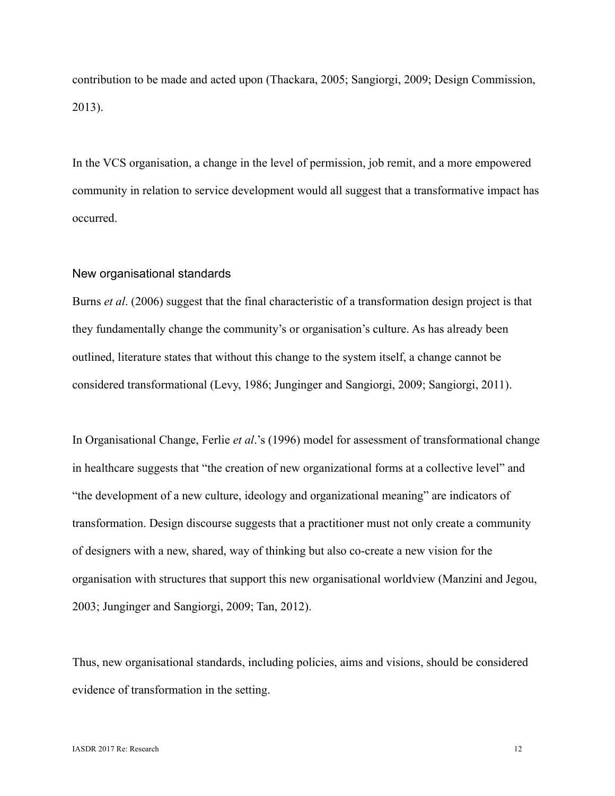contribution to be made and acted upon (Thackara, 2005; Sangiorgi, 2009; Design Commission, 2013).

In the VCS organisation, a change in the level of permission, job remit, and a more empowered community in relation to service development would all suggest that a transformative impact has occurred.

## New organisational standards

Burns *et al*. (2006) suggest that the final characteristic of a transformation design project is that they fundamentally change the community's or organisation's culture. As has already been outlined, literature states that without this change to the system itself, a change cannot be considered transformational (Levy, 1986; Junginger and Sangiorgi, 2009; Sangiorgi, 2011).

In Organisational Change, Ferlie *et al*.'s (1996) model for assessment of transformational change in healthcare suggests that "the creation of new organizational forms at a collective level" and "the development of a new culture, ideology and organizational meaning" are indicators of transformation. Design discourse suggests that a practitioner must not only create a community of designers with a new, shared, way of thinking but also co-create a new vision for the organisation with structures that support this new organisational worldview (Manzini and Jegou, 2003; Junginger and Sangiorgi, 2009; Tan, 2012).

Thus, new organisational standards, including policies, aims and visions, should be considered evidence of transformation in the setting.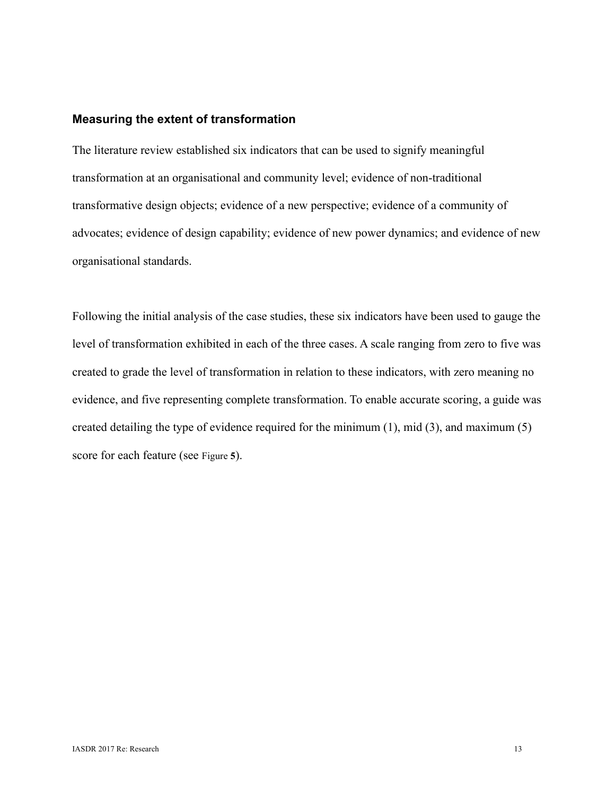## **Measuring the extent of transformation**

The literature review established six indicators that can be used to signify meaningful transformation at an organisational and community level; evidence of non-traditional transformative design objects; evidence of a new perspective; evidence of a community of advocates; evidence of design capability; evidence of new power dynamics; and evidence of new organisational standards.

Following the initial analysis of the case studies, these six indicators have been used to gauge the level of transformation exhibited in each of the three cases. A scale ranging from zero to five was created to grade the level of transformation in relation to these indicators, with zero meaning no evidence, and five representing complete transformation. To enable accurate scoring, a guide was created detailing the type of evidence required for the minimum (1), mid (3), and maximum (5) score for each feature (see Figure **5**).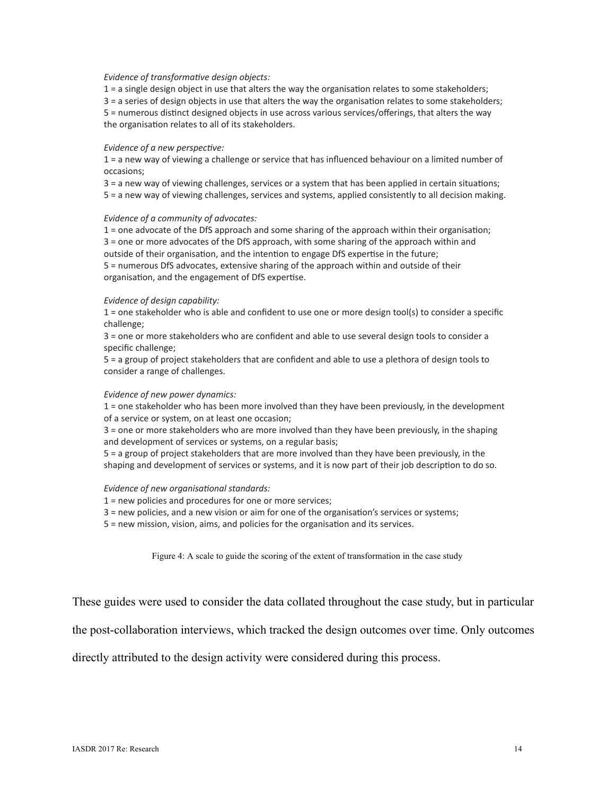#### *Evidence of transformatve design objects:*

1 = a single design object in use that alters the way the organisaton relates to some stakeholders;

3 = a series of design objects in use that alters the way the organisaton relates to some stakeholders;

5 = numerous distnct designed objects in use across various services/oferings, that alters the way the organisaton relates to all of its stakeholders.

#### *Evidence of a new perspectve:*

1 = a new way of viewing a challenge or service that has infuenced behaviour on a limited number of occasions;

3 = a new way of viewing challenges, services or a system that has been applied in certain situatons;

5 = a new way of viewing challenges, services and systems, applied consistently to all decision making.

#### *Evidence of a community of advocates:*

1 = one advocate of the DfS approach and some sharing of the approach within their organisaton; 3 = one or more advocates of the DfS approach, with some sharing of the approach within and outside of their organisation, and the intention to engage DfS expertise in the future; 5 = numerous DfS advocates, extensive sharing of the approach within and outside of their organisaton, and the engagement of DfS expertse.

#### *Evidence of design capability:*

1 = one stakeholder who is able and confdent to use one or more design tool(s) to consider a specifc challenge;

3 = one or more stakeholders who are confdent and able to use several design tools to consider a specific challenge;

5 = a group of project stakeholders that are confdent and able to use a plethora of design tools to consider a range of challenges.

#### *Evidence of new power dynamics:*

1 = one stakeholder who has been more involved than they have been previously, in the development of a service or system, on at least one occasion;

3 = one or more stakeholders who are more involved than they have been previously, in the shaping and development of services or systems, on a regular basis;

5 = a group of project stakeholders that are more involved than they have been previously, in the shaping and development of services or systems, and it is now part of their job descripton to do so.

#### *Evidence of new organisatonal standards:*

1 = new policies and procedures for one or more services;

3 = new policies, and a new vision or aim for one of the organisaton's services or systems;

5 = new mission, vision, aims, and policies for the organisaton and its services.

Figure 4: A scale to guide the scoring of the extent of transformation in the case study

These guides were used to consider the data collated throughout the case study, but in particular

the post-collaboration interviews, which tracked the design outcomes over time. Only outcomes

directly attributed to the design activity were considered during this process.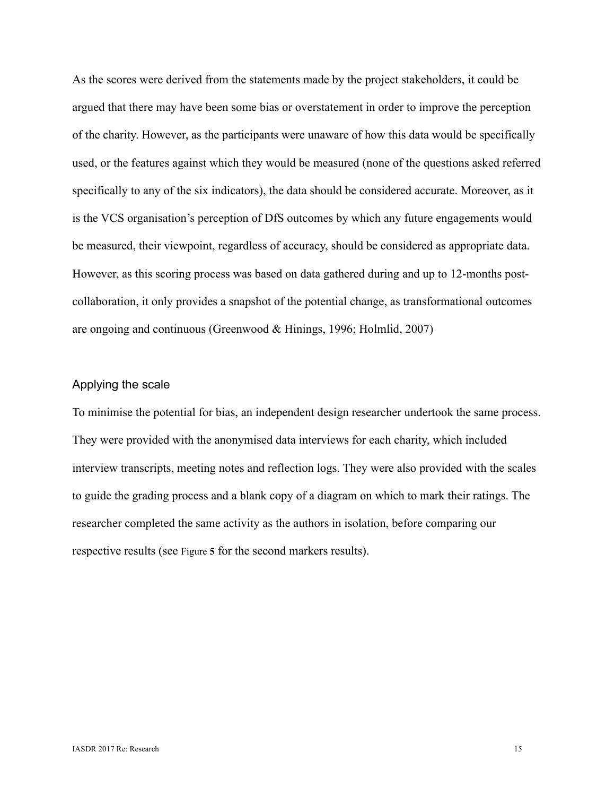As the scores were derived from the statements made by the project stakeholders, it could be argued that there may have been some bias or overstatement in order to improve the perception of the charity. However, as the participants were unaware of how this data would be specifically used, or the features against which they would be measured (none of the questions asked referred specifically to any of the six indicators), the data should be considered accurate. Moreover, as it is the VCS organisation's perception of DfS outcomes by which any future engagements would be measured, their viewpoint, regardless of accuracy, should be considered as appropriate data. However, as this scoring process was based on data gathered during and up to 12-months postcollaboration, it only provides a snapshot of the potential change, as transformational outcomes are ongoing and continuous (Greenwood & Hinings, 1996; Holmlid, 2007)

# Applying the scale

To minimise the potential for bias, an independent design researcher undertook the same process. They were provided with the anonymised data interviews for each charity, which included interview transcripts, meeting notes and reflection logs. They were also provided with the scales to guide the grading process and a blank copy of a diagram on which to mark their ratings. The researcher completed the same activity as the authors in isolation, before comparing our respective results (see Figure **5** for the second markers results).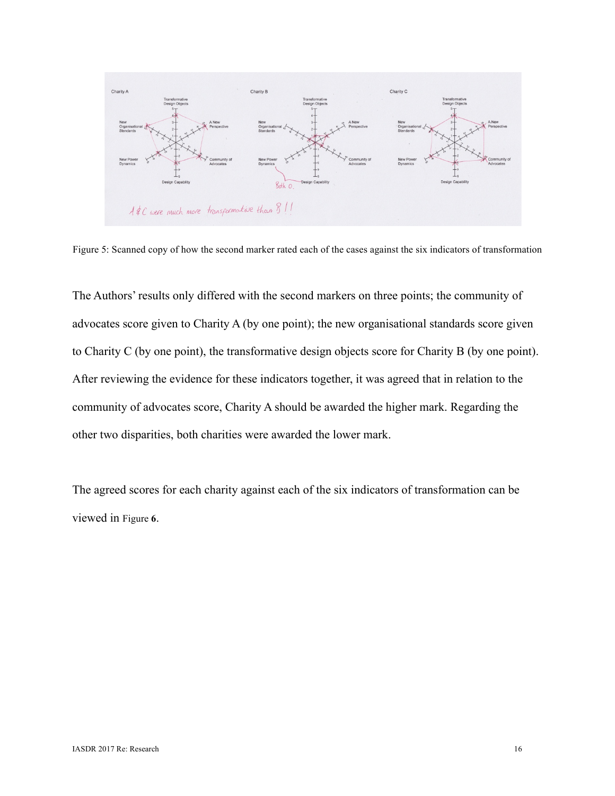

Figure 5: Scanned copy of how the second marker rated each of the cases against the six indicators of transformation

The Authors' results only differed with the second markers on three points; the community of advocates score given to Charity A (by one point); the new organisational standards score given to Charity C (by one point), the transformative design objects score for Charity B (by one point). After reviewing the evidence for these indicators together, it was agreed that in relation to the community of advocates score, Charity A should be awarded the higher mark. Regarding the other two disparities, both charities were awarded the lower mark.

The agreed scores for each charity against each of the six indicators of transformation can be viewed in Figure **6**.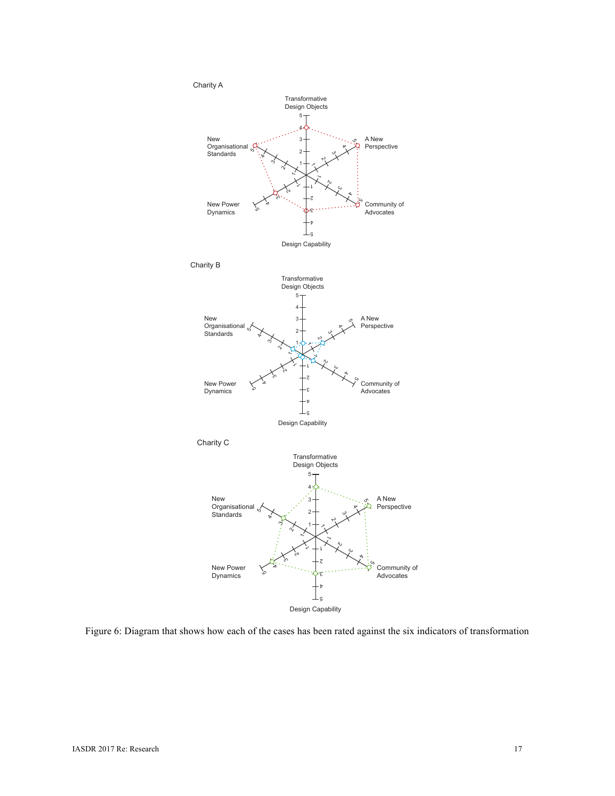

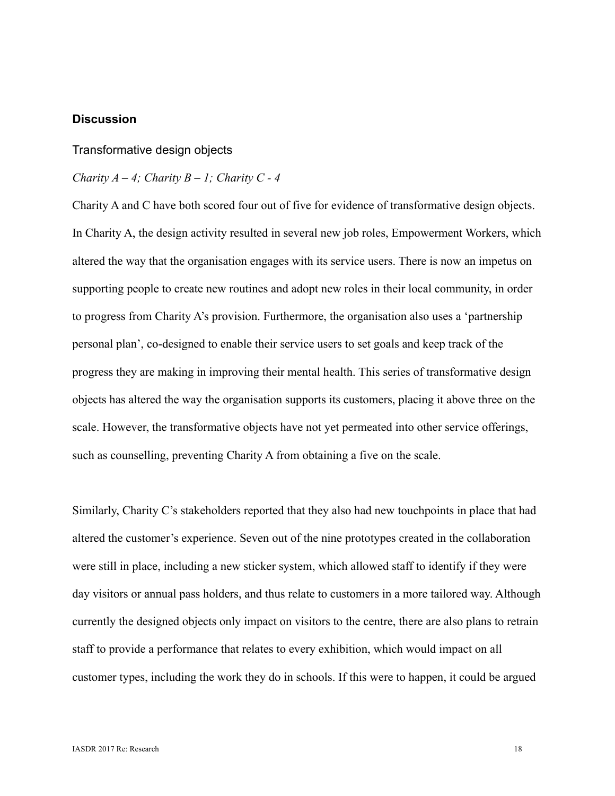# **Discussion**

# Transformative design objects

## *Charity A – 4; Charity B – 1; Charity C - 4*

Charity A and C have both scored four out of five for evidence of transformative design objects. In Charity A, the design activity resulted in several new job roles, Empowerment Workers, which altered the way that the organisation engages with its service users. There is now an impetus on supporting people to create new routines and adopt new roles in their local community, in order to progress from Charity A's provision. Furthermore, the organisation also uses a 'partnership personal plan', co-designed to enable their service users to set goals and keep track of the progress they are making in improving their mental health. This series of transformative design objects has altered the way the organisation supports its customers, placing it above three on the scale. However, the transformative objects have not yet permeated into other service offerings, such as counselling, preventing Charity A from obtaining a five on the scale.

Similarly, Charity C's stakeholders reported that they also had new touchpoints in place that had altered the customer's experience. Seven out of the nine prototypes created in the collaboration were still in place, including a new sticker system, which allowed staff to identify if they were day visitors or annual pass holders, and thus relate to customers in a more tailored way. Although currently the designed objects only impact on visitors to the centre, there are also plans to retrain staff to provide a performance that relates to every exhibition, which would impact on all customer types, including the work they do in schools. If this were to happen, it could be argued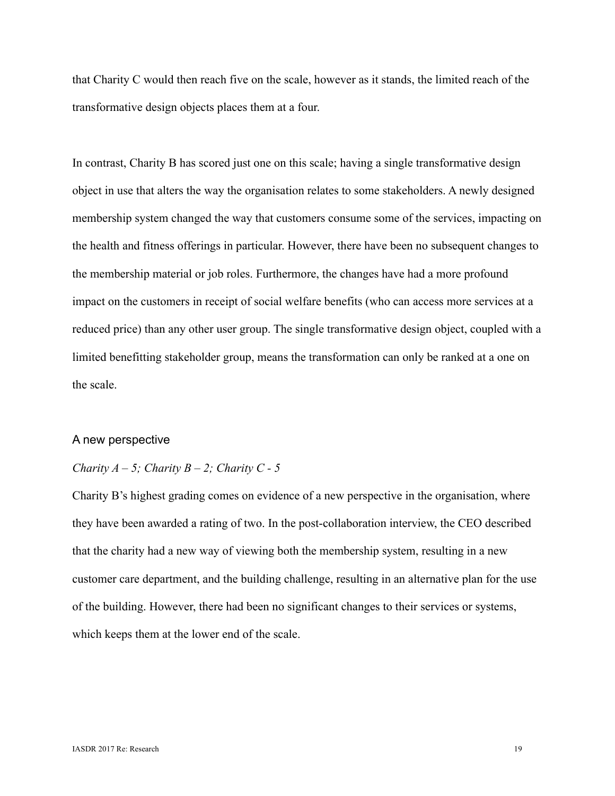that Charity C would then reach five on the scale, however as it stands, the limited reach of the transformative design objects places them at a four.

In contrast, Charity B has scored just one on this scale; having a single transformative design object in use that alters the way the organisation relates to some stakeholders. A newly designed membership system changed the way that customers consume some of the services, impacting on the health and fitness offerings in particular. However, there have been no subsequent changes to the membership material or job roles. Furthermore, the changes have had a more profound impact on the customers in receipt of social welfare benefits (who can access more services at a reduced price) than any other user group. The single transformative design object, coupled with a limited benefitting stakeholder group, means the transformation can only be ranked at a one on the scale.

# A new perspective

# *Charity A – 5; Charity B – 2; Charity C - 5*

Charity B's highest grading comes on evidence of a new perspective in the organisation, where they have been awarded a rating of two. In the post-collaboration interview, the CEO described that the charity had a new way of viewing both the membership system, resulting in a new customer care department, and the building challenge, resulting in an alternative plan for the use of the building. However, there had been no significant changes to their services or systems, which keeps them at the lower end of the scale.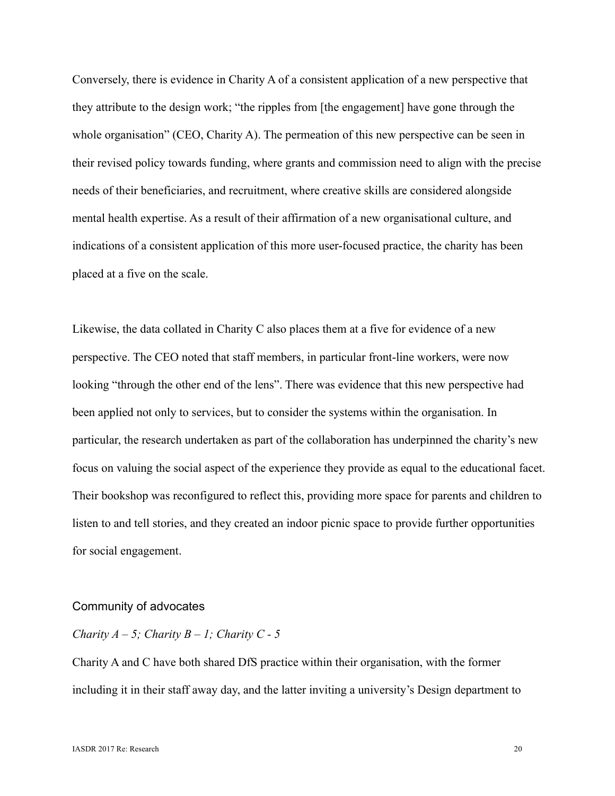Conversely, there is evidence in Charity A of a consistent application of a new perspective that they attribute to the design work; "the ripples from [the engagement] have gone through the whole organisation" (CEO, Charity A). The permeation of this new perspective can be seen in their revised policy towards funding, where grants and commission need to align with the precise needs of their beneficiaries, and recruitment, where creative skills are considered alongside mental health expertise. As a result of their affirmation of a new organisational culture, and indications of a consistent application of this more user-focused practice, the charity has been placed at a five on the scale.

Likewise, the data collated in Charity C also places them at a five for evidence of a new perspective. The CEO noted that staff members, in particular front-line workers, were now looking "through the other end of the lens". There was evidence that this new perspective had been applied not only to services, but to consider the systems within the organisation. In particular, the research undertaken as part of the collaboration has underpinned the charity's new focus on valuing the social aspect of the experience they provide as equal to the educational facet. Their bookshop was reconfigured to reflect this, providing more space for parents and children to listen to and tell stories, and they created an indoor picnic space to provide further opportunities for social engagement.

## Community of advocates

# *Charity A – 5; Charity B – 1; Charity C - 5*

Charity A and C have both shared DfS practice within their organisation, with the former including it in their staff away day, and the latter inviting a university's Design department to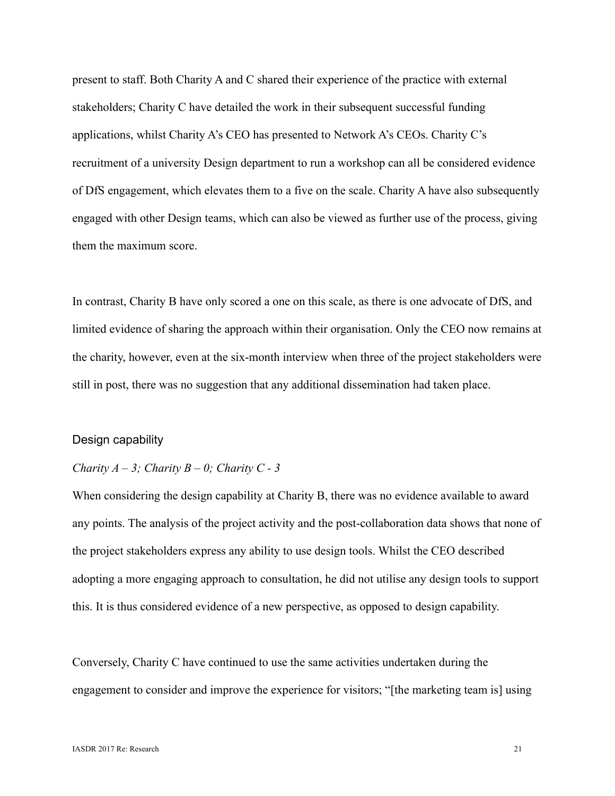present to staff. Both Charity A and C shared their experience of the practice with external stakeholders; Charity C have detailed the work in their subsequent successful funding applications, whilst Charity A's CEO has presented to Network A's CEOs. Charity C's recruitment of a university Design department to run a workshop can all be considered evidence of DfS engagement, which elevates them to a five on the scale. Charity A have also subsequently engaged with other Design teams, which can also be viewed as further use of the process, giving them the maximum score.

In contrast, Charity B have only scored a one on this scale, as there is one advocate of DfS, and limited evidence of sharing the approach within their organisation. Only the CEO now remains at the charity, however, even at the six-month interview when three of the project stakeholders were still in post, there was no suggestion that any additional dissemination had taken place.

#### Design capability

# *Charity A – 3; Charity B – 0; Charity C - 3*

When considering the design capability at Charity B, there was no evidence available to award any points. The analysis of the project activity and the post-collaboration data shows that none of the project stakeholders express any ability to use design tools. Whilst the CEO described adopting a more engaging approach to consultation, he did not utilise any design tools to support this. It is thus considered evidence of a new perspective, as opposed to design capability.

Conversely, Charity C have continued to use the same activities undertaken during the engagement to consider and improve the experience for visitors; "[the marketing team is] using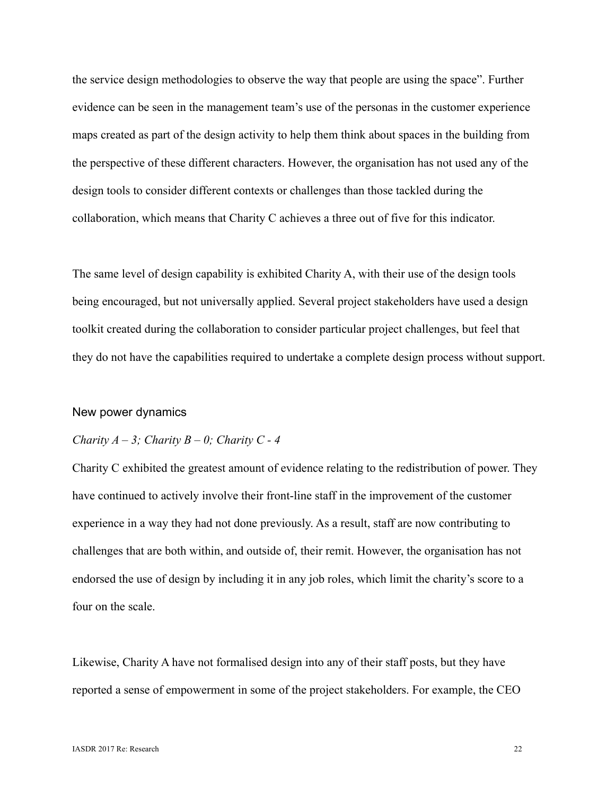the service design methodologies to observe the way that people are using the space". Further evidence can be seen in the management team's use of the personas in the customer experience maps created as part of the design activity to help them think about spaces in the building from the perspective of these different characters. However, the organisation has not used any of the design tools to consider different contexts or challenges than those tackled during the collaboration, which means that Charity C achieves a three out of five for this indicator.

The same level of design capability is exhibited Charity A, with their use of the design tools being encouraged, but not universally applied. Several project stakeholders have used a design toolkit created during the collaboration to consider particular project challenges, but feel that they do not have the capabilities required to undertake a complete design process without support.

#### New power dynamics

#### *Charity A – 3; Charity B – 0; Charity C - 4*

Charity C exhibited the greatest amount of evidence relating to the redistribution of power. They have continued to actively involve their front-line staff in the improvement of the customer experience in a way they had not done previously. As a result, staff are now contributing to challenges that are both within, and outside of, their remit. However, the organisation has not endorsed the use of design by including it in any job roles, which limit the charity's score to a four on the scale.

Likewise, Charity A have not formalised design into any of their staff posts, but they have reported a sense of empowerment in some of the project stakeholders. For example, the CEO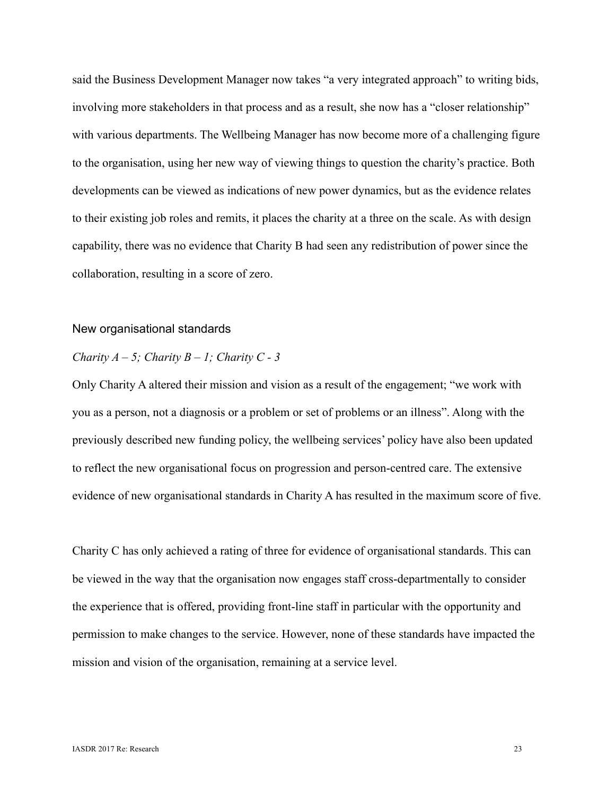said the Business Development Manager now takes "a very integrated approach" to writing bids, involving more stakeholders in that process and as a result, she now has a "closer relationship" with various departments. The Wellbeing Manager has now become more of a challenging figure to the organisation, using her new way of viewing things to question the charity's practice. Both developments can be viewed as indications of new power dynamics, but as the evidence relates to their existing job roles and remits, it places the charity at a three on the scale. As with design capability, there was no evidence that Charity B had seen any redistribution of power since the collaboration, resulting in a score of zero.

#### New organisational standards

## *Charity A – 5; Charity B – 1; Charity C - 3*

Only Charity A altered their mission and vision as a result of the engagement; "we work with you as a person, not a diagnosis or a problem or set of problems or an illness". Along with the previously described new funding policy, the wellbeing services' policy have also been updated to reflect the new organisational focus on progression and person-centred care. The extensive evidence of new organisational standards in Charity A has resulted in the maximum score of five.

Charity C has only achieved a rating of three for evidence of organisational standards. This can be viewed in the way that the organisation now engages staff cross-departmentally to consider the experience that is offered, providing front-line staff in particular with the opportunity and permission to make changes to the service. However, none of these standards have impacted the mission and vision of the organisation, remaining at a service level.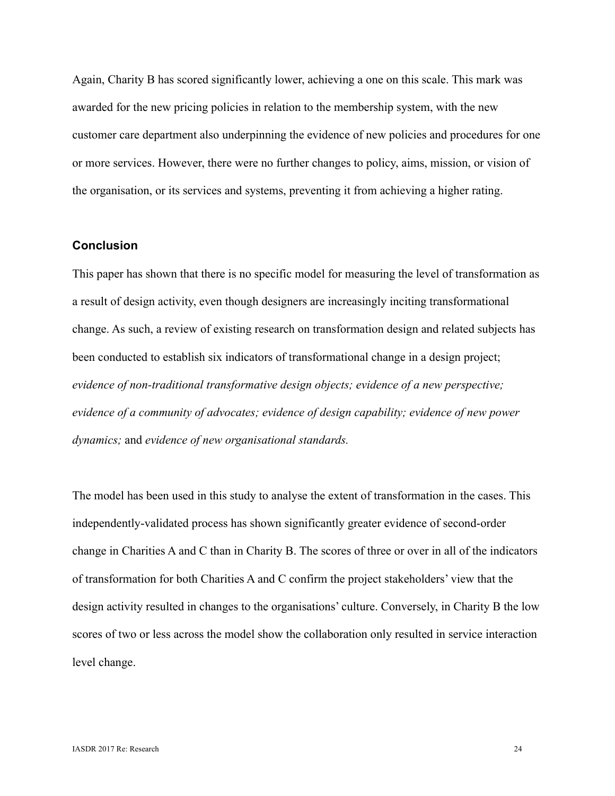Again, Charity B has scored significantly lower, achieving a one on this scale. This mark was awarded for the new pricing policies in relation to the membership system, with the new customer care department also underpinning the evidence of new policies and procedures for one or more services. However, there were no further changes to policy, aims, mission, or vision of the organisation, or its services and systems, preventing it from achieving a higher rating.

# **Conclusion**

This paper has shown that there is no specific model for measuring the level of transformation as a result of design activity, even though designers are increasingly inciting transformational change. As such, a review of existing research on transformation design and related subjects has been conducted to establish six indicators of transformational change in a design project; *evidence of non-traditional transformative design objects; evidence of a new perspective; evidence of a community of advocates; evidence of design capability; evidence of new power dynamics;* and *evidence of new organisational standards.*

The model has been used in this study to analyse the extent of transformation in the cases. This independently-validated process has shown significantly greater evidence of second-order change in Charities A and C than in Charity B. The scores of three or over in all of the indicators of transformation for both Charities A and C confirm the project stakeholders' view that the design activity resulted in changes to the organisations' culture. Conversely, in Charity B the low scores of two or less across the model show the collaboration only resulted in service interaction level change.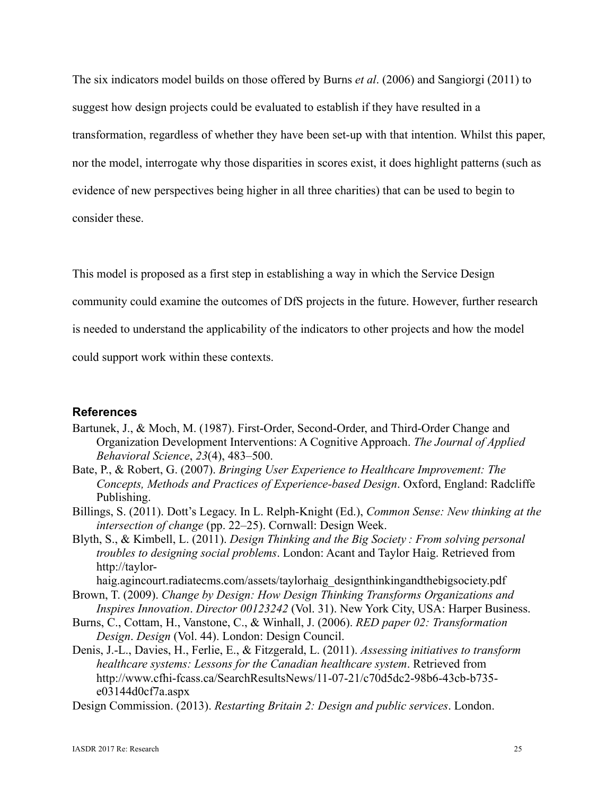The six indicators model builds on those offered by Burns *et al*. (2006) and Sangiorgi (2011) to suggest how design projects could be evaluated to establish if they have resulted in a transformation, regardless of whether they have been set-up with that intention. Whilst this paper, nor the model, interrogate why those disparities in scores exist, it does highlight patterns (such as evidence of new perspectives being higher in all three charities) that can be used to begin to consider these.

This model is proposed as a first step in establishing a way in which the Service Design

community could examine the outcomes of DfS projects in the future. However, further research

is needed to understand the applicability of the indicators to other projects and how the model

could support work within these contexts.

# **References**

- Bartunek, J., & Moch, M. (1987). First-Order, Second-Order, and Third-Order Change and Organization Development Interventions: A Cognitive Approach. *The Journal of Applied Behavioral Science*, *23*(4), 483–500.
- Bate, P., & Robert, G. (2007). *Bringing User Experience to Healthcare Improvement: The Concepts, Methods and Practices of Experience-based Design*. Oxford, England: Radcliffe Publishing.
- Billings, S. (2011). Dott's Legacy. In L. Relph-Knight (Ed.), *Common Sense: New thinking at the intersection of change* (pp. 22–25). Cornwall: Design Week.
- Blyth, S., & Kimbell, L. (2011). *Design Thinking and the Big Society : From solving personal troubles to designing social problems*. London: Acant and Taylor Haig. Retrieved from http://taylor-

haig.agincourt.radiatecms.com/assets/taylorhaig\_designthinkingandthebigsociety.pdf Brown, T. (2009). *Change by Design: How Design Thinking Transforms Organizations and* 

- *Inspires Innovation*. *Director 00123242* (Vol. 31). New York City, USA: Harper Business.
- Burns, C., Cottam, H., Vanstone, C., & Winhall, J. (2006). *RED paper 02: Transformation Design*. *Design* (Vol. 44). London: Design Council.
- Denis, J.-L., Davies, H., Ferlie, E., & Fitzgerald, L. (2011). *Assessing initiatives to transform healthcare systems: Lessons for the Canadian healthcare system*. Retrieved from http://www.cfhi-fcass.ca/SearchResultsNews/11-07-21/c70d5dc2-98b6-43cb-b735 e03144d0cf7a.aspx
- Design Commission. (2013). *Restarting Britain 2: Design and public services*. London.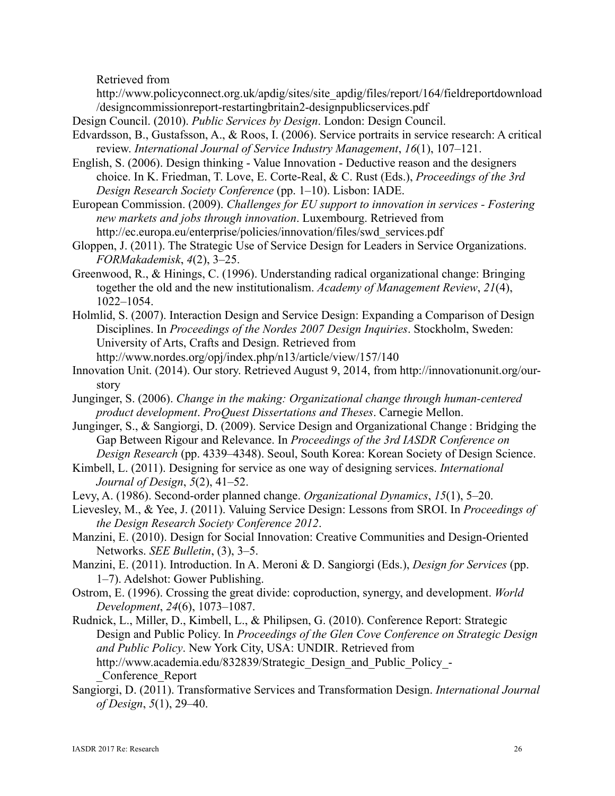Retrieved from

http://www.policyconnect.org.uk/apdig/sites/site\_apdig/files/report/164/fieldreportdownload /designcommissionreport-restartingbritain2-designpublicservices.pdf

- Design Council. (2010). *Public Services by Design*. London: Design Council.
- Edvardsson, B., Gustafsson, A., & Roos, I. (2006). Service portraits in service research: A critical review. *International Journal of Service Industry Management*, *16*(1), 107–121.
- English, S. (2006). Design thinking Value Innovation Deductive reason and the designers choice. In K. Friedman, T. Love, E. Corte-Real, & C. Rust (Eds.), *Proceedings of the 3rd Design Research Society Conference* (pp. 1–10). Lisbon: IADE.
- European Commission. (2009). *Challenges for EU support to innovation in services - Fostering new markets and jobs through innovation*. Luxembourg. Retrieved from http://ec.europa.eu/enterprise/policies/innovation/files/swd\_services.pdf
- Gloppen, J. (2011). The Strategic Use of Service Design for Leaders in Service Organizations. *FORMakademisk*, *4*(2), 3–25.
- Greenwood, R., & Hinings, C. (1996). Understanding radical organizational change: Bringing together the old and the new institutionalism. *Academy of Management Review*, *21*(4), 1022–1054.
- Holmlid, S. (2007). Interaction Design and Service Design: Expanding a Comparison of Design Disciplines. In *Proceedings of the Nordes 2007 Design Inquiries*. Stockholm, Sweden: University of Arts, Crafts and Design. Retrieved from http://www.nordes.org/opj/index.php/n13/article/view/157/140
- Innovation Unit. (2014). Our story. Retrieved August 9, 2014, from http://innovationunit.org/ourstory
- Junginger, S. (2006). *Change in the making: Organizational change through human-centered product development*. *ProQuest Dissertations and Theses*. Carnegie Mellon.
- Junginger, S., & Sangiorgi, D. (2009). Service Design and Organizational Change : Bridging the Gap Between Rigour and Relevance. In *Proceedings of the 3rd IASDR Conference on Design Research* (pp. 4339–4348). Seoul, South Korea: Korean Society of Design Science.
- Kimbell, L. (2011). Designing for service as one way of designing services. *International Journal of Design*, *5*(2), 41–52.
- Levy, A. (1986). Second-order planned change. *Organizational Dynamics*, *15*(1), 5–20.
- Lievesley, M., & Yee, J. (2011). Valuing Service Design: Lessons from SROI. In *Proceedings of the Design Research Society Conference 2012*.
- Manzini, E. (2010). Design for Social Innovation: Creative Communities and Design-Oriented Networks. *SEE Bulletin*, (3), 3–5.
- Manzini, E. (2011). Introduction. In A. Meroni & D. Sangiorgi (Eds.), *Design for Services* (pp. 1–7). Adelshot: Gower Publishing.
- Ostrom, E. (1996). Crossing the great divide: coproduction, synergy, and development. *World Development*, *24*(6), 1073–1087.
- Rudnick, L., Miller, D., Kimbell, L., & Philipsen, G. (2010). Conference Report: Strategic Design and Public Policy. In *Proceedings of the Glen Cove Conference on Strategic Design and Public Policy*. New York City, USA: UNDIR. Retrieved from http://www.academia.edu/832839/Strategic\_Design\_and\_Public\_Policy\_- \_Conference\_Report
- Sangiorgi, D. (2011). Transformative Services and Transformation Design. *International Journal of Design*, *5*(1), 29–40.